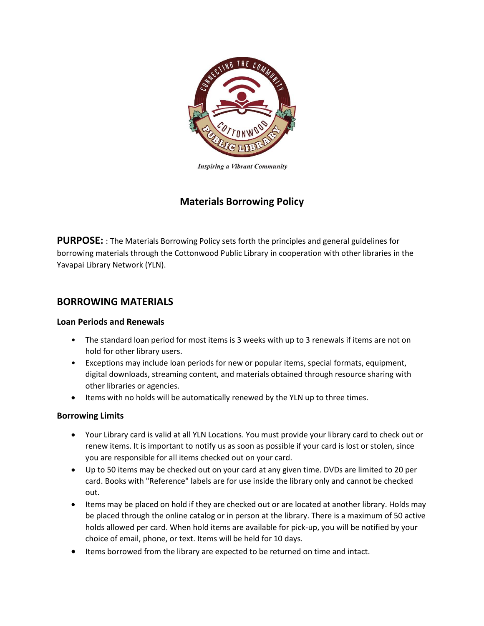

**Inspiring a Vibrant Community** 

# **Materials Borrowing Policy**

**PURPOSE:** : The Materials Borrowing Policy sets forth the principles and general guidelines for borrowing materials through the Cottonwood Public Library in cooperation with other libraries in the Yavapai Library Network (YLN).

## **BORROWING MATERIALS**

## **Loan Periods and Renewals**

- The standard loan period for most items is 3 weeks with up to 3 renewals if items are not on hold for other library users.
- Exceptions may include loan periods for new or popular items, special formats, equipment, digital downloads, streaming content, and materials obtained through resource sharing with other libraries or agencies.
- Items with no holds will be automatically renewed by the YLN up to three times.

## **Borrowing Limits**

- Your Library card is valid at all YLN Locations. You must provide your library card to check out or renew items. It is important to notify us as soon as possible if your card is lost or stolen, since you are responsible for all items checked out on your card.
- Up to 50 items may be checked out on your card at any given time. DVDs are limited to 20 per card. Books with "Reference" labels are for use inside the library only and cannot be checked out.
- Items may be placed on hold if they are checked out or are located at another library. Holds may be placed through the online catalog or in person at the library. There is a maximum of 50 active holds allowed per card. When hold items are available for pick-up, you will be notified by your choice of email, phone, or text. Items will be held for 10 days.
- Items borrowed from the library are expected to be returned on time and intact.